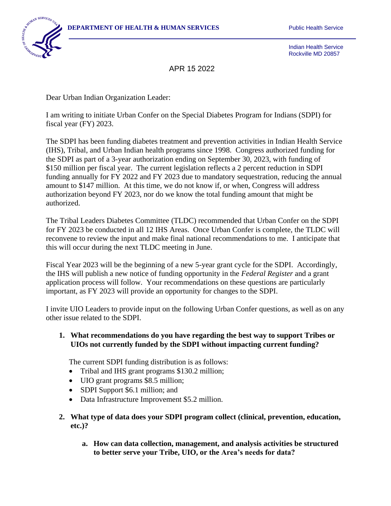

Indian Health Service Rockville MD 20857

APR 15 2022

Dear Urban Indian Organization Leader:

I am writing to initiate Urban Confer on the Special Diabetes Program for Indians (SDPI) for fiscal year (FY) 2023.

The SDPI has been funding diabetes treatment and prevention activities in Indian Health Service (IHS), Tribal, and Urban Indian health programs since 1998. Congress authorized funding for the SDPI as part of a 3-year authorization ending on September 30, 2023, with funding of \$150 million per fiscal year. The current legislation reflects a 2 percent reduction in SDPI funding annually for FY 2022 and FY 2023 due to mandatory sequestration, reducing the annual amount to \$147 million. At this time, we do not know if, or when, Congress will address authorization beyond FY 2023, nor do we know the total funding amount that might be authorized.

The Tribal Leaders Diabetes Committee (TLDC) recommended that Urban Confer on the SDPI for FY 2023 be conducted in all 12 IHS Areas. Once Urban Confer is complete, the TLDC will reconvene to review the input and make final national recommendations to me. I anticipate that this will occur during the next TLDC meeting in June.

Fiscal Year 2023 will be the beginning of a new 5-year grant cycle for the SDPI. Accordingly, the IHS will publish a new notice of funding opportunity in the *Federal Register* and a grant application process will follow. Your recommendations on these questions are particularly important, as FY 2023 will provide an opportunity for changes to the SDPI.

I invite UIO Leaders to provide input on the following Urban Confer questions, as well as on any other issue related to the SDPI.

## **1. What recommendations do you have regarding the best way to support Tribes or UIOs not currently funded by the SDPI without impacting current funding?**

The current SDPI funding distribution is as follows:

- Tribal and IHS grant programs \$130.2 million;
- UIO grant programs \$8.5 million;
- SDPI Support \$6.1 million; and
- Data Infrastructure Improvement \$5.2 million.
- **2. What type of data does your SDPI program collect (clinical, prevention, education, etc.)?**
	- **a. How can data collection, management, and analysis activities be structured to better serve your Tribe, UIO, or the Area's needs for data?**